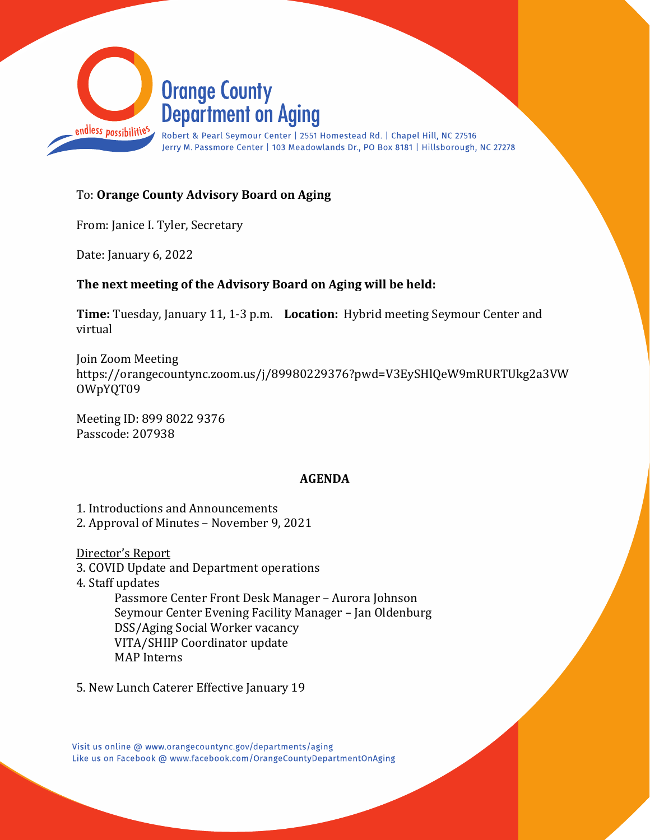

## To: **Orange County Advisory Board on Aging**

From: Janice I. Tyler, Secretary

Date: January 6, 2022

### **The next meeting of the Advisory Board on Aging will be held:**

**Time:** Tuesday, January 11, 1-3 p.m. **Location:** Hybrid meeting Seymour Center and virtual

Join Zoom Meeting https://orangecountync.zoom.us/j/89980229376?pwd=V3EySHlQeW9mRURTUkg2a3VW OWpYQT09

Meeting ID: 899 8022 9376 Passcode: 207938

### **AGENDA**

1. Introductions and Announcements

2. Approval of Minutes – November 9, 2021

Director's Report

3. COVID Update and Department operations

4. Staff updates

Passmore Center Front Desk Manager – Aurora Johnson Seymour Center Evening Facility Manager – Jan Oldenburg DSS/Aging Social Worker vacancy VITA/SHIIP Coordinator update MAP Interns

5. New Lunch Caterer Effective January 19

Visit us online @ www.orangecountync.gov/departments/aging Like us on Facebook @ www.facebook.com/OrangeCountyDepartmentOnAging